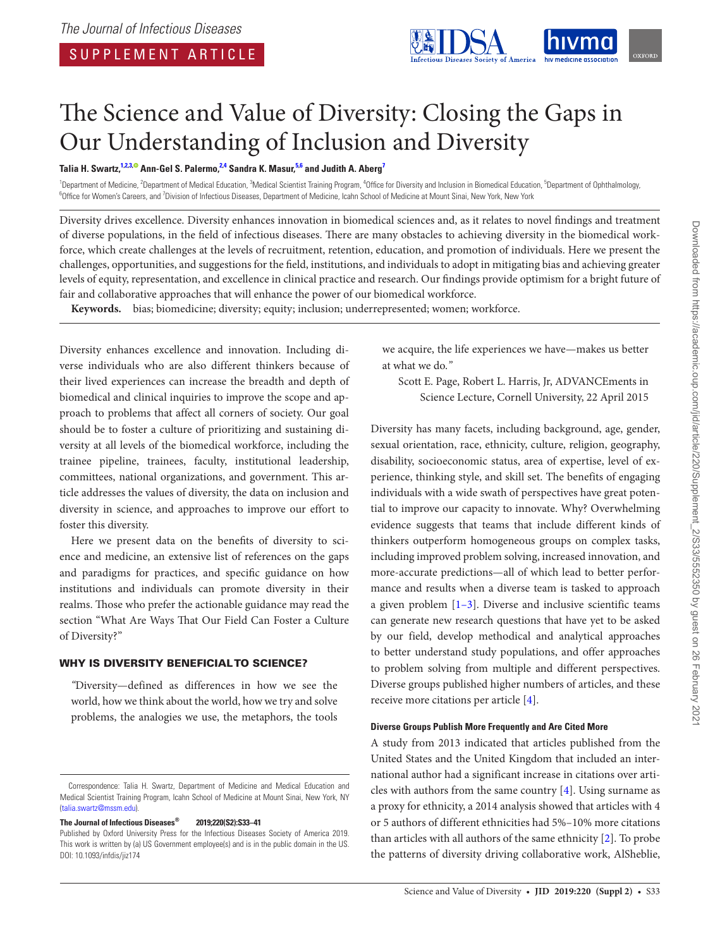

# The Science and Value of Diversity: Closing the Gaps in Our Understanding of Inclusion and Diversity

**Talia H. Swartz, 1,2,[3, A](http://orcid.org/0000-0003-1572-045X)nn-Gel S. Palermo, 2,4 Sandra K. Masur, 5,6 and Judith A. Aberg7**

<sup>1</sup>Department of Medicine, <sup>2</sup>Department of Medical Education, <sup>3</sup>Medical Scientist Training Program, <sup>4</sup>Office for Diversity and Inclusion in Biomedical Education, <sup>5</sup>Department of Ophthalmology,<br><sup>6</sup>Office for Memor's Car Office for Women's Careers, and <sup>7</sup>Division of Infectious Diseases, Department of Medicine, Icahn School of Medicine at Mount Sinai, New York, New York

Diversity drives excellence. Diversity enhances innovation in biomedical sciences and, as it relates to novel findings and treatment of diverse populations, in the field of infectious diseases. There are many obstacles to achieving diversity in the biomedical workforce, which create challenges at the levels of recruitment, retention, education, and promotion of individuals. Here we present the challenges, opportunities, and suggestions for the field, institutions, and individuals to adopt in mitigating bias and achieving greater levels of equity, representation, and excellence in clinical practice and research. Our findings provide optimism for a bright future of fair and collaborative approaches that will enhance the power of our biomedical workforce.

**Keywords.** bias; biomedicine; diversity; equity; inclusion; underrepresented; women; workforce.

Diversity enhances excellence and innovation. Including diverse individuals who are also different thinkers because of their lived experiences can increase the breadth and depth of biomedical and clinical inquiries to improve the scope and approach to problems that affect all corners of society. Our goal should be to foster a culture of prioritizing and sustaining diversity at all levels of the biomedical workforce, including the trainee pipeline, trainees, faculty, institutional leadership, committees, national organizations, and government. This article addresses the values of diversity, the data on inclusion and diversity in science, and approaches to improve our effort to foster this diversity.

Here we present data on the benefits of diversity to science and medicine, an extensive list of references on the gaps and paradigms for practices, and specific guidance on how institutions and individuals can promote diversity in their realms. Those who prefer the actionable guidance may read the section "What Are Ways That Our Field Can Foster a Culture of Diversity?"

#### WHY IS DIVERSITY BENEFICIAL TO SCIENCE?

*"*Diversity—defined as differences in how we see the world, how we think about the world, how we try and solve problems, the analogies we use, the metaphors, the tools

**The Journal of Infectious Diseases® 2019;220(S2):S33–41**

we acquire, the life experiences we have—makes us better at what we do.*"*

Scott E. Page, Robert L. Harris, Jr, ADVANCEments in Science Lecture, Cornell University, 22 April 2015

Diversity has many facets, including background, age, gender, sexual orientation, race, ethnicity, culture, religion, geography, disability, socioeconomic status, area of expertise, level of experience, thinking style, and skill set. The benefits of engaging individuals with a wide swath of perspectives have great potential to improve our capacity to innovate. Why? Overwhelming evidence suggests that teams that include different kinds of thinkers outperform homogeneous groups on complex tasks, including improved problem solving, increased innovation, and more-accurate predictions—all of which lead to better performance and results when a diverse team is tasked to approach a given problem [[1–3](#page-6-0)]. Diverse and inclusive scientific teams can generate new research questions that have yet to be asked by our field, develop methodical and analytical approaches to better understand study populations, and offer approaches to problem solving from multiple and different perspectives. Diverse groups published higher numbers of articles, and these receive more citations per article [[4](#page-7-0)].

#### **Diverse Groups Publish More Frequently and Are Cited More**

A study from 2013 indicated that articles published from the United States and the United Kingdom that included an international author had a significant increase in citations over articles with authors from the same country  $[4]$ . Using surname as a proxy for ethnicity, a 2014 analysis showed that articles with 4 or 5 authors of different ethnicities had 5%–10% more citations than articles with all authors of the same ethnicity [\[2\]](#page-6-1). To probe the patterns of diversity driving collaborative work, AlSheblie,

Correspondence: Talia H. Swartz, Department of Medicine and Medical Education and Medical Scientist Training Program, Icahn School of Medicine at Mount Sinai, New York, NY [\(talia.swartz@mssm.edu\)](mailto:talia.swartz@mssm.edu?subject=).

Published by Oxford University Press for the Infectious Diseases Society of America 2019. This work is written by (a) US Government employee(s) and is in the public domain in the US. DOI: 10.1093/infdis/jiz174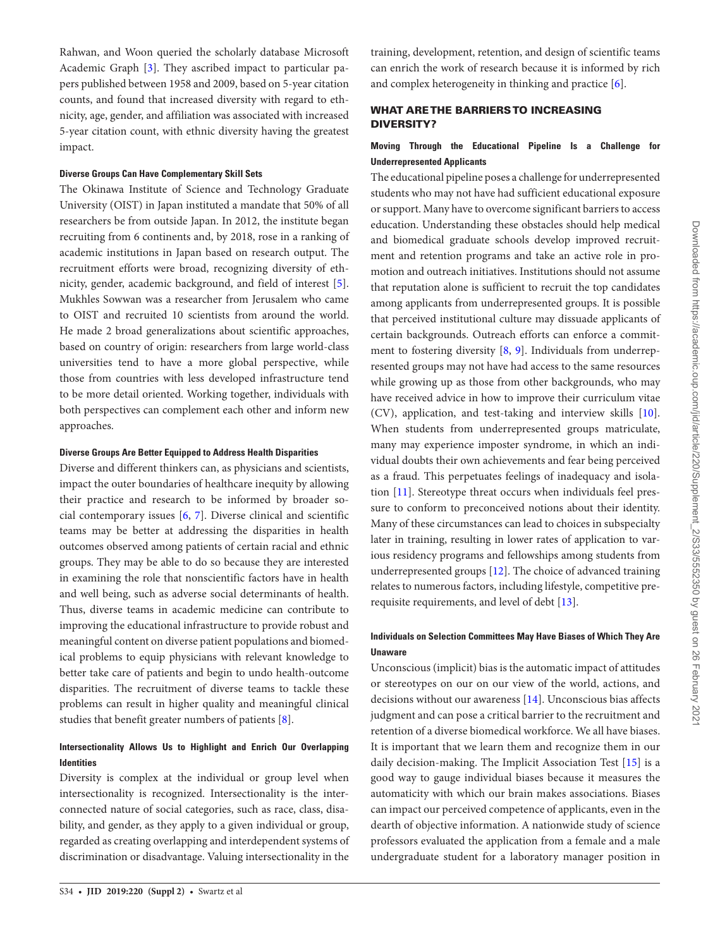Rahwan, and Woon queried the scholarly database Microsoft Academic Graph [[3](#page-7-1)]. They ascribed impact to particular papers published between 1958 and 2009, based on 5-year citation counts, and found that increased diversity with regard to ethnicity, age, gender, and affiliation was associated with increased 5-year citation count, with ethnic diversity having the greatest impact.

#### **Diverse Groups Can Have Complementary Skill Sets**

The Okinawa Institute of Science and Technology Graduate University (OIST) in Japan instituted a mandate that 50% of all researchers be from outside Japan. In 2012, the institute began recruiting from 6 continents and, by 2018, rose in a ranking of academic institutions in Japan based on research output. The recruitment efforts were broad, recognizing diversity of ethnicity, gender, academic background, and field of interest [\[5\]](#page-7-2). Mukhles Sowwan was a researcher from Jerusalem who came to OIST and recruited 10 scientists from around the world. He made 2 broad generalizations about scientific approaches, based on country of origin: researchers from large world-class universities tend to have a more global perspective, while those from countries with less developed infrastructure tend to be more detail oriented. Working together, individuals with both perspectives can complement each other and inform new approaches.

#### **Diverse Groups Are Better Equipped to Address Health Disparities**

Diverse and different thinkers can, as physicians and scientists, impact the outer boundaries of healthcare inequity by allowing their practice and research to be informed by broader social contemporary issues [[6](#page-7-3), [7](#page-7-4)]. Diverse clinical and scientific teams may be better at addressing the disparities in health outcomes observed among patients of certain racial and ethnic groups. They may be able to do so because they are interested in examining the role that nonscientific factors have in health and well being, such as adverse social determinants of health. Thus, diverse teams in academic medicine can contribute to improving the educational infrastructure to provide robust and meaningful content on diverse patient populations and biomedical problems to equip physicians with relevant knowledge to better take care of patients and begin to undo health-outcome disparities. The recruitment of diverse teams to tackle these problems can result in higher quality and meaningful clinical studies that benefit greater numbers of patients [[8](#page-7-5)].

# **Intersectionality Allows Us to Highlight and Enrich Our Overlapping Identities**

Diversity is complex at the individual or group level when intersectionality is recognized. Intersectionality is the interconnected nature of social categories, such as race, class, disability, and gender, as they apply to a given individual or group, regarded as creating overlapping and interdependent systems of discrimination or disadvantage. Valuing intersectionality in the

training, development, retention, and design of scientific teams can enrich the work of research because it is informed by rich and complex heterogeneity in thinking and practice [\[6\]](#page-7-3).

## WHAT ARE THE BARRIERS TO INCREASING DIVERSITY?

## **Moving Through the Educational Pipeline Is a Challenge for Underrepresented Applicants**

The educational pipeline poses a challenge for underrepresented students who may not have had sufficient educational exposure or support. Many have to overcome significant barriers to access education. Understanding these obstacles should help medical and biomedical graduate schools develop improved recruitment and retention programs and take an active role in promotion and outreach initiatives. Institutions should not assume that reputation alone is sufficient to recruit the top candidates among applicants from underrepresented groups. It is possible that perceived institutional culture may dissuade applicants of certain backgrounds. Outreach efforts can enforce a commitment to fostering diversity [\[8,](#page-7-5) [9\]](#page-7-6). Individuals from underrepresented groups may not have had access to the same resources while growing up as those from other backgrounds, who may have received advice in how to improve their curriculum vitae (CV), application, and test-taking and interview skills [\[10](#page-7-7)]. When students from underrepresented groups matriculate, many may experience imposter syndrome, in which an individual doubts their own achievements and fear being perceived as a fraud. This perpetuates feelings of inadequacy and isolation [[11\]](#page-7-8). Stereotype threat occurs when individuals feel pressure to conform to preconceived notions about their identity. Many of these circumstances can lead to choices in subspecialty later in training, resulting in lower rates of application to various residency programs and fellowships among students from underrepresented groups [[12\]](#page-7-9). The choice of advanced training relates to numerous factors, including lifestyle, competitive prerequisite requirements, and level of debt [\[13](#page-7-10)].

## **Individuals on Selection Committees May Have Biases of Which They Are Unaware**

Unconscious (implicit) bias is the automatic impact of attitudes or stereotypes on our on our view of the world, actions, and decisions without our awareness [[14](#page-7-11)]. Unconscious bias affects judgment and can pose a critical barrier to the recruitment and retention of a diverse biomedical workforce. We all have biases. It is important that we learn them and recognize them in our daily decision-making. The Implicit Association Test [[15\]](#page-7-12) is a good way to gauge individual biases because it measures the automaticity with which our brain makes associations. Biases can impact our perceived competence of applicants, even in the dearth of objective information. A nationwide study of science professors evaluated the application from a female and a male undergraduate student for a laboratory manager position in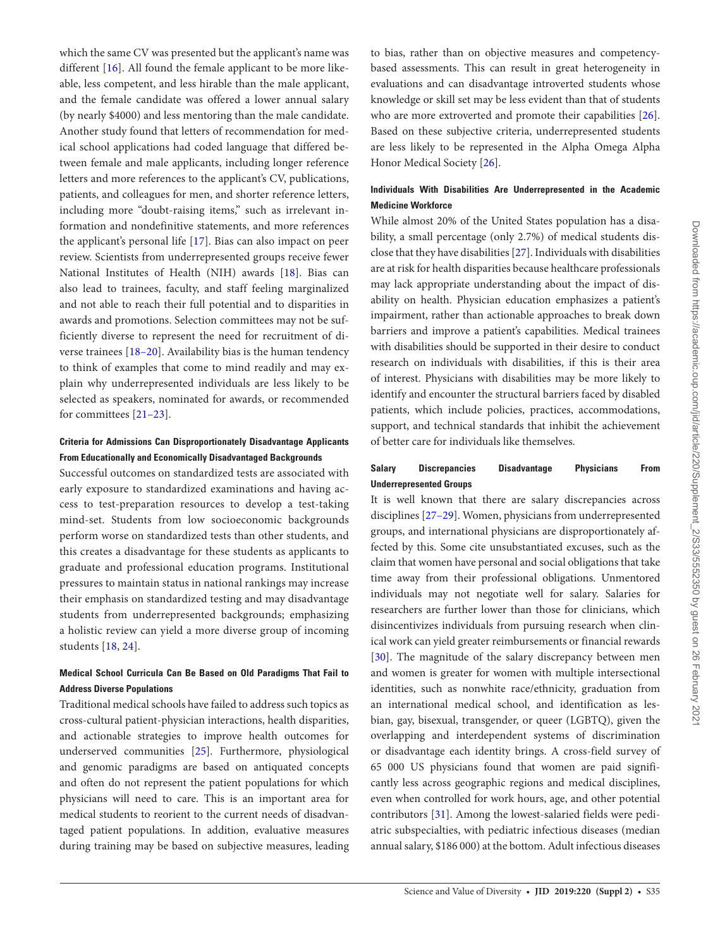which the same CV was presented but the applicant's name was different [\[16](#page-7-13)]. All found the female applicant to be more likeable, less competent, and less hirable than the male applicant, and the female candidate was offered a lower annual salary (by nearly \$4000) and less mentoring than the male candidate. Another study found that letters of recommendation for medical school applications had coded language that differed between female and male applicants, including longer reference letters and more references to the applicant's CV, publications, patients, and colleagues for men, and shorter reference letters, including more "doubt-raising items," such as irrelevant information and nondefinitive statements, and more references the applicant's personal life [[17\]](#page-7-14). Bias can also impact on peer review. Scientists from underrepresented groups receive fewer National Institutes of Health (NIH) awards [\[18\]](#page-7-15). Bias can also lead to trainees, faculty, and staff feeling marginalized and not able to reach their full potential and to disparities in awards and promotions. Selection committees may not be sufficiently diverse to represent the need for recruitment of diverse trainees [[18–20](#page-7-15)]. Availability bias is the human tendency to think of examples that come to mind readily and may explain why underrepresented individuals are less likely to be selected as speakers, nominated for awards, or recommended for committees [\[21–23\]](#page-7-16).

# **Criteria for Admissions Can Disproportionately Disadvantage Applicants From Educationally and Economically Disadvantaged Backgrounds**

Successful outcomes on standardized tests are associated with early exposure to standardized examinations and having access to test-preparation resources to develop a test-taking mind-set. Students from low socioeconomic backgrounds perform worse on standardized tests than other students, and this creates a disadvantage for these students as applicants to graduate and professional education programs. Institutional pressures to maintain status in national rankings may increase their emphasis on standardized testing and may disadvantage students from underrepresented backgrounds; emphasizing a holistic review can yield a more diverse group of incoming students [\[18,](#page-7-15) [24](#page-7-17)].

# **Medical School Curricula Can Be Based on Old Paradigms That Fail to Address Diverse Populations**

Traditional medical schools have failed to address such topics as cross-cultural patient-physician interactions, health disparities, and actionable strategies to improve health outcomes for underserved communities [\[25](#page-7-18)]. Furthermore, physiological and genomic paradigms are based on antiquated concepts and often do not represent the patient populations for which physicians will need to care. This is an important area for medical students to reorient to the current needs of disadvantaged patient populations. In addition, evaluative measures during training may be based on subjective measures, leading

to bias, rather than on objective measures and competencybased assessments. This can result in great heterogeneity in evaluations and can disadvantage introverted students whose knowledge or skill set may be less evident than that of students who are more extroverted and promote their capabilities [\[26](#page-7-19)]. Based on these subjective criteria, underrepresented students are less likely to be represented in the Alpha Omega Alpha Honor Medical Society [[26](#page-7-19)].

# **Individuals With Disabilities Are Underrepresented in the Academic Medicine Workforce**

While almost 20% of the United States population has a disability, a small percentage (only 2.7%) of medical students disclose that they have disabilities [\[27](#page-7-20)]. Individuals with disabilities are at risk for health disparities because healthcare professionals may lack appropriate understanding about the impact of disability on health. Physician education emphasizes a patient's impairment, rather than actionable approaches to break down barriers and improve a patient's capabilities. Medical trainees with disabilities should be supported in their desire to conduct research on individuals with disabilities, if this is their area of interest. Physicians with disabilities may be more likely to identify and encounter the structural barriers faced by disabled patients, which include policies, practices, accommodations, support, and technical standards that inhibit the achievement of better care for individuals like themselves.

# **Salary Discrepancies Disadvantage Physicians From Underrepresented Groups**

It is well known that there are salary discrepancies across disciplines [\[27–29](#page-7-21)]. Women, physicians from underrepresented groups, and international physicians are disproportionately affected by this. Some cite unsubstantiated excuses, such as the claim that women have personal and social obligations that take time away from their professional obligations. Unmentored individuals may not negotiate well for salary. Salaries for researchers are further lower than those for clinicians, which disincentivizes individuals from pursuing research when clinical work can yield greater reimbursements or financial rewards [\[30](#page-7-22)]. The magnitude of the salary discrepancy between men and women is greater for women with multiple intersectional identities, such as nonwhite race/ethnicity, graduation from an international medical school, and identification as lesbian, gay, bisexual, transgender, or queer (LGBTQ), given the overlapping and interdependent systems of discrimination or disadvantage each identity brings. A cross-field survey of 65 000 US physicians found that women are paid significantly less across geographic regions and medical disciplines, even when controlled for work hours, age, and other potential contributors [[31\]](#page-7-23). Among the lowest-salaried fields were pediatric subspecialties, with pediatric infectious diseases (median annual salary, \$186 000) at the bottom. Adult infectious diseases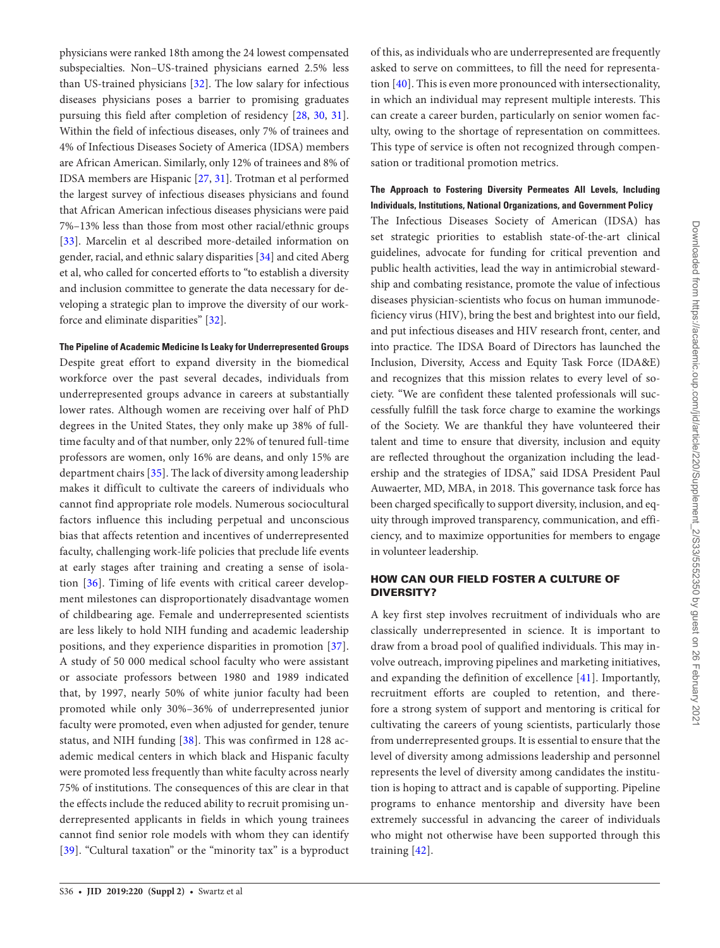physicians were ranked 18th among the 24 lowest compensated subspecialties. Non–US-trained physicians earned 2.5% less than US-trained physicians [[32](#page-7-24)]. The low salary for infectious diseases physicians poses a barrier to promising graduates pursuing this field after completion of residency [\[28](#page-7-21), [30](#page-7-22), [31\]](#page-7-23). Within the field of infectious diseases, only 7% of trainees and 4% of Infectious Diseases Society of America (IDSA) members are African American. Similarly, only 12% of trainees and 8% of IDSA members are Hispanic [[27,](#page-7-20) [31](#page-7-23)]. Trotman et al performed the largest survey of infectious diseases physicians and found that African American infectious diseases physicians were paid 7%–13% less than those from most other racial/ethnic groups [\[33](#page-7-25)]. Marcelin et al described more-detailed information on gender, racial, and ethnic salary disparities [\[34](#page-7-26)] and cited Aberg et al, who called for concerted efforts to "to establish a diversity and inclusion committee to generate the data necessary for developing a strategic plan to improve the diversity of our workforce and eliminate disparities" [\[32\]](#page-7-24).

#### **The Pipeline of Academic Medicine Is Leaky for Underrepresented Groups**

Despite great effort to expand diversity in the biomedical workforce over the past several decades, individuals from underrepresented groups advance in careers at substantially lower rates. Although women are receiving over half of PhD degrees in the United States, they only make up 38% of fulltime faculty and of that number, only 22% of tenured full-time professors are women, only 16% are deans, and only 15% are department chairs [\[35\]](#page-8-0). The lack of diversity among leadership makes it difficult to cultivate the careers of individuals who cannot find appropriate role models. Numerous sociocultural factors influence this including perpetual and unconscious bias that affects retention and incentives of underrepresented faculty, challenging work-life policies that preclude life events at early stages after training and creating a sense of isolation [[36\]](#page-8-1). Timing of life events with critical career development milestones can disproportionately disadvantage women of childbearing age. Female and underrepresented scientists are less likely to hold NIH funding and academic leadership positions, and they experience disparities in promotion [\[37](#page-8-2)]. A study of 50 000 medical school faculty who were assistant or associate professors between 1980 and 1989 indicated that, by 1997, nearly 50% of white junior faculty had been promoted while only 30%–36% of underrepresented junior faculty were promoted, even when adjusted for gender, tenure status, and NIH funding [[38](#page-8-3)]. This was confirmed in 128 academic medical centers in which black and Hispanic faculty were promoted less frequently than white faculty across nearly 75% of institutions. The consequences of this are clear in that the effects include the reduced ability to recruit promising underrepresented applicants in fields in which young trainees cannot find senior role models with whom they can identify [\[39\]](#page-8-4). "Cultural taxation" or the "minority tax" is a byproduct of this, as individuals who are underrepresented are frequently asked to serve on committees, to fill the need for representation [[40](#page-8-5)]. This is even more pronounced with intersectionality, in which an individual may represent multiple interests. This can create a career burden, particularly on senior women faculty, owing to the shortage of representation on committees. This type of service is often not recognized through compensation or traditional promotion metrics.

# **The Approach to Fostering Diversity Permeates All Levels, Including Individuals, Institutions, National Organizations, and Government Policy**

The Infectious Diseases Society of American (IDSA) has set strategic priorities to establish state-of-the-art clinical guidelines, advocate for funding for critical prevention and public health activities, lead the way in antimicrobial stewardship and combating resistance, promote the value of infectious diseases physician-scientists who focus on human immunodeficiency virus (HIV), bring the best and brightest into our field, and put infectious diseases and HIV research front, center, and into practice. The IDSA Board of Directors has launched the Inclusion, Diversity, Access and Equity Task Force (IDA&E) and recognizes that this mission relates to every level of society. "We are confident these talented professionals will successfully fulfill the task force charge to examine the workings of the Society. We are thankful they have volunteered their talent and time to ensure that diversity, inclusion and equity are reflected throughout the organization including the leadership and the strategies of IDSA," said IDSA President Paul Auwaerter, MD, MBA, in 2018. This governance task force has been charged specifically to support diversity, inclusion, and equity through improved transparency, communication, and efficiency, and to maximize opportunities for members to engage in volunteer leadership.

## HOW CAN OUR FIELD FOSTER A CULTURE OF DIVERSITY?

A key first step involves recruitment of individuals who are classically underrepresented in science. It is important to draw from a broad pool of qualified individuals. This may involve outreach, improving pipelines and marketing initiatives, and expanding the definition of excellence [[41](#page-8-6)]. Importantly, recruitment efforts are coupled to retention, and therefore a strong system of support and mentoring is critical for cultivating the careers of young scientists, particularly those from underrepresented groups. It is essential to ensure that the level of diversity among admissions leadership and personnel represents the level of diversity among candidates the institution is hoping to attract and is capable of supporting. Pipeline programs to enhance mentorship and diversity have been extremely successful in advancing the career of individuals who might not otherwise have been supported through this training [[42](#page-8-7)].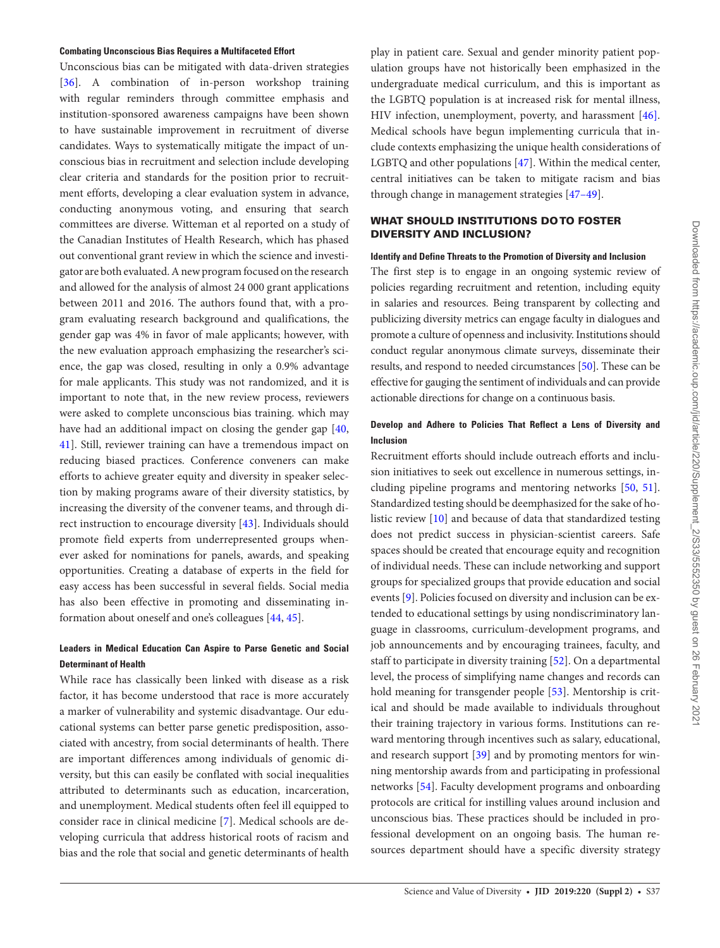#### **Combating Unconscious Bias Requires a Multifaceted Effort**

Unconscious bias can be mitigated with data-driven strategies [\[36](#page-8-1)]. A combination of in-person workshop training with regular reminders through committee emphasis and institution-sponsored awareness campaigns have been shown to have sustainable improvement in recruitment of diverse candidates. Ways to systematically mitigate the impact of unconscious bias in recruitment and selection include developing clear criteria and standards for the position prior to recruitment efforts, developing a clear evaluation system in advance, conducting anonymous voting, and ensuring that search committees are diverse. Witteman et al reported on a study of the Canadian Institutes of Health Research, which has phased out conventional grant review in which the science and investigator are both evaluated. A new program focused on the research and allowed for the analysis of almost 24 000 grant applications between 2011 and 2016. The authors found that, with a program evaluating research background and qualifications, the gender gap was 4% in favor of male applicants; however, with the new evaluation approach emphasizing the researcher's science, the gap was closed, resulting in only a 0.9% advantage for male applicants. This study was not randomized, and it is important to note that, in the new review process, reviewers were asked to complete unconscious bias training. which may have had an additional impact on closing the gender gap [[40,](#page-8-5) [41](#page-8-6)]. Still, reviewer training can have a tremendous impact on reducing biased practices. Conference conveners can make efforts to achieve greater equity and diversity in speaker selection by making programs aware of their diversity statistics, by increasing the diversity of the convener teams, and through direct instruction to encourage diversity [\[43](#page-8-8)]. Individuals should promote field experts from underrepresented groups whenever asked for nominations for panels, awards, and speaking opportunities. Creating a database of experts in the field for easy access has been successful in several fields. Social media has also been effective in promoting and disseminating information about oneself and one's colleagues [\[44](#page-8-9), [45\]](#page-8-10).

## **Leaders in Medical Education Can Aspire to Parse Genetic and Social Determinant of Health**

While race has classically been linked with disease as a risk factor, it has become understood that race is more accurately a marker of vulnerability and systemic disadvantage. Our educational systems can better parse genetic predisposition, associated with ancestry, from social determinants of health. There are important differences among individuals of genomic diversity, but this can easily be conflated with social inequalities attributed to determinants such as education, incarceration, and unemployment. Medical students often feel ill equipped to consider race in clinical medicine [\[7](#page-7-4)]. Medical schools are developing curricula that address historical roots of racism and bias and the role that social and genetic determinants of health

play in patient care. Sexual and gender minority patient population groups have not historically been emphasized in the undergraduate medical curriculum, and this is important as the LGBTQ population is at increased risk for mental illness, HIV infection, unemployment, poverty, and harassment [\[46](#page-8-11)]. Medical schools have begun implementing curricula that include contexts emphasizing the unique health considerations of LGBTQ and other populations [[47\]](#page-8-12). Within the medical center, central initiatives can be taken to mitigate racism and bias through change in management strategies [[47–49\]](#page-8-13).

## WHAT SHOULD INSTITUTIONS DO TO FOSTER DIVERSITY AND INCLUSION?

#### **Identify and Define Threats to the Promotion of Diversity and Inclusion**

The first step is to engage in an ongoing systemic review of policies regarding recruitment and retention, including equity in salaries and resources. Being transparent by collecting and publicizing diversity metrics can engage faculty in dialogues and promote a culture of openness and inclusivity. Institutions should conduct regular anonymous climate surveys, disseminate their results, and respond to needed circumstances [\[50\]](#page-8-14). These can be effective for gauging the sentiment of individuals and can provide actionable directions for change on a continuous basis.

## **Develop and Adhere to Policies That Reflect a Lens of Diversity and Inclusion**

Recruitment efforts should include outreach efforts and inclusion initiatives to seek out excellence in numerous settings, including pipeline programs and mentoring networks [\[50,](#page-8-14) [51](#page-8-15)]. Standardized testing should be deemphasized for the sake of holistic review [\[10\]](#page-7-7) and because of data that standardized testing does not predict success in physician-scientist careers. Safe spaces should be created that encourage equity and recognition of individual needs. These can include networking and support groups for specialized groups that provide education and social events [[9](#page-7-6)]. Policies focused on diversity and inclusion can be extended to educational settings by using nondiscriminatory language in classrooms, curriculum-development programs, and job announcements and by encouraging trainees, faculty, and staff to participate in diversity training [[52\]](#page-8-16). On a departmental level, the process of simplifying name changes and records can hold meaning for transgender people [\[53](#page-8-17)]. Mentorship is critical and should be made available to individuals throughout their training trajectory in various forms. Institutions can reward mentoring through incentives such as salary, educational, and research support [[39\]](#page-8-4) and by promoting mentors for winning mentorship awards from and participating in professional networks [[54\]](#page-8-18). Faculty development programs and onboarding protocols are critical for instilling values around inclusion and unconscious bias. These practices should be included in professional development on an ongoing basis. The human resources department should have a specific diversity strategy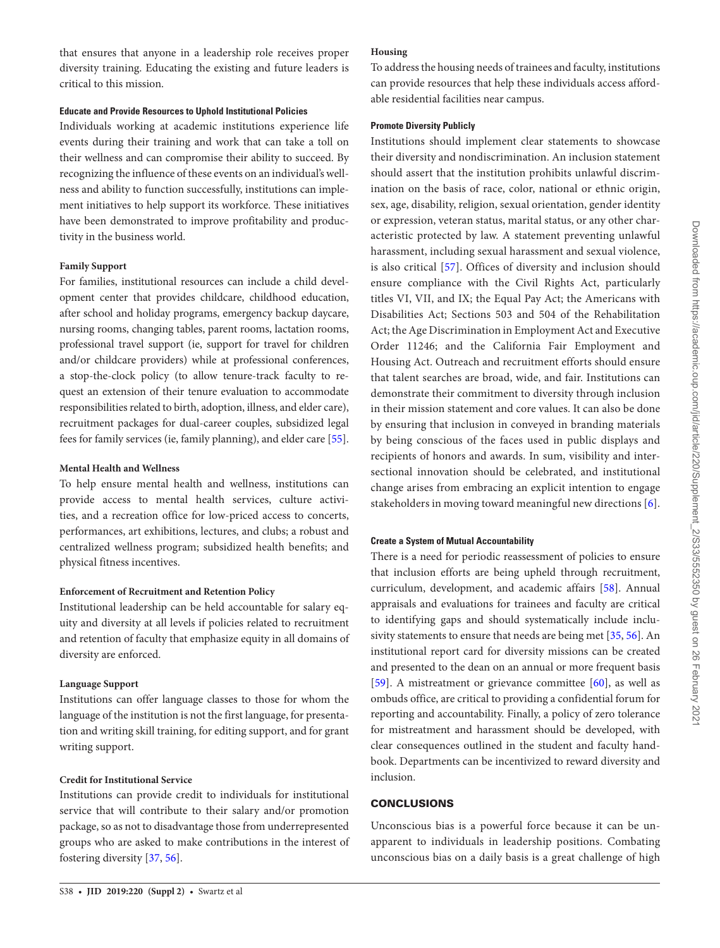that ensures that anyone in a leadership role receives proper diversity training. Educating the existing and future leaders is critical to this mission.

#### **Educate and Provide Resources to Uphold Institutional Policies**

Individuals working at academic institutions experience life events during their training and work that can take a toll on their wellness and can compromise their ability to succeed. By recognizing the influence of these events on an individual's wellness and ability to function successfully, institutions can implement initiatives to help support its workforce. These initiatives have been demonstrated to improve profitability and productivity in the business world.

#### **Family Support**

For families, institutional resources can include a child development center that provides childcare, childhood education, after school and holiday programs, emergency backup daycare, nursing rooms, changing tables, parent rooms, lactation rooms, professional travel support (ie, support for travel for children and/or childcare providers) while at professional conferences, a stop-the-clock policy (to allow tenure-track faculty to request an extension of their tenure evaluation to accommodate responsibilities related to birth, adoption, illness, and elder care), recruitment packages for dual-career couples, subsidized legal fees for family services (ie, family planning), and elder care [[55\]](#page-8-19).

## **Mental Health and Wellness**

To help ensure mental health and wellness, institutions can provide access to mental health services, culture activities, and a recreation office for low-priced access to concerts, performances, art exhibitions, lectures, and clubs; a robust and centralized wellness program; subsidized health benefits; and physical fitness incentives.

#### **Enforcement of Recruitment and Retention Policy**

Institutional leadership can be held accountable for salary equity and diversity at all levels if policies related to recruitment and retention of faculty that emphasize equity in all domains of diversity are enforced.

#### **Language Support**

Institutions can offer language classes to those for whom the language of the institution is not the first language, for presentation and writing skill training, for editing support, and for grant writing support.

#### **Credit for Institutional Service**

Institutions can provide credit to individuals for institutional service that will contribute to their salary and/or promotion package, so as not to disadvantage those from underrepresented groups who are asked to make contributions in the interest of fostering diversity [[37,](#page-8-2) [56](#page-8-20)].

#### **Housing**

To address the housing needs of trainees and faculty, institutions can provide resources that help these individuals access affordable residential facilities near campus.

#### **Promote Diversity Publicly**

Institutions should implement clear statements to showcase their diversity and nondiscrimination. An inclusion statement should assert that the institution prohibits unlawful discrimination on the basis of race, color, national or ethnic origin, sex, age, disability, religion, sexual orientation, gender identity or expression, veteran status, marital status, or any other characteristic protected by law. A statement preventing unlawful harassment, including sexual harassment and sexual violence, is also critical [[57](#page-8-21)]. Offices of diversity and inclusion should ensure compliance with the Civil Rights Act, particularly titles VI, VII, and IX; the Equal Pay Act; the Americans with Disabilities Act; Sections 503 and 504 of the Rehabilitation Act; the Age Discrimination in Employment Act and Executive Order 11246; and the California Fair Employment and Housing Act. Outreach and recruitment efforts should ensure that talent searches are broad, wide, and fair. Institutions can demonstrate their commitment to diversity through inclusion in their mission statement and core values. It can also be done by ensuring that inclusion in conveyed in branding materials by being conscious of the faces used in public displays and recipients of honors and awards. In sum, visibility and intersectional innovation should be celebrated, and institutional change arises from embracing an explicit intention to engage stakeholders in moving toward meaningful new directions [[6](#page-7-3)].

#### **Create a System of Mutual Accountability**

There is a need for periodic reassessment of policies to ensure that inclusion efforts are being upheld through recruitment, curriculum, development, and academic affairs [\[58](#page-8-22)]. Annual appraisals and evaluations for trainees and faculty are critical to identifying gaps and should systematically include inclusivity statements to ensure that needs are being met [[35,](#page-8-0) [56\]](#page-8-20). An institutional report card for diversity missions can be created and presented to the dean on an annual or more frequent basis [\[59](#page-8-23)]. A mistreatment or grievance committee  $[60]$  $[60]$ , as well as ombuds office, are critical to providing a confidential forum for reporting and accountability. Finally, a policy of zero tolerance for mistreatment and harassment should be developed, with clear consequences outlined in the student and faculty handbook. Departments can be incentivized to reward diversity and inclusion.

## **CONCLUSIONS**

Unconscious bias is a powerful force because it can be unapparent to individuals in leadership positions. Combating unconscious bias on a daily basis is a great challenge of high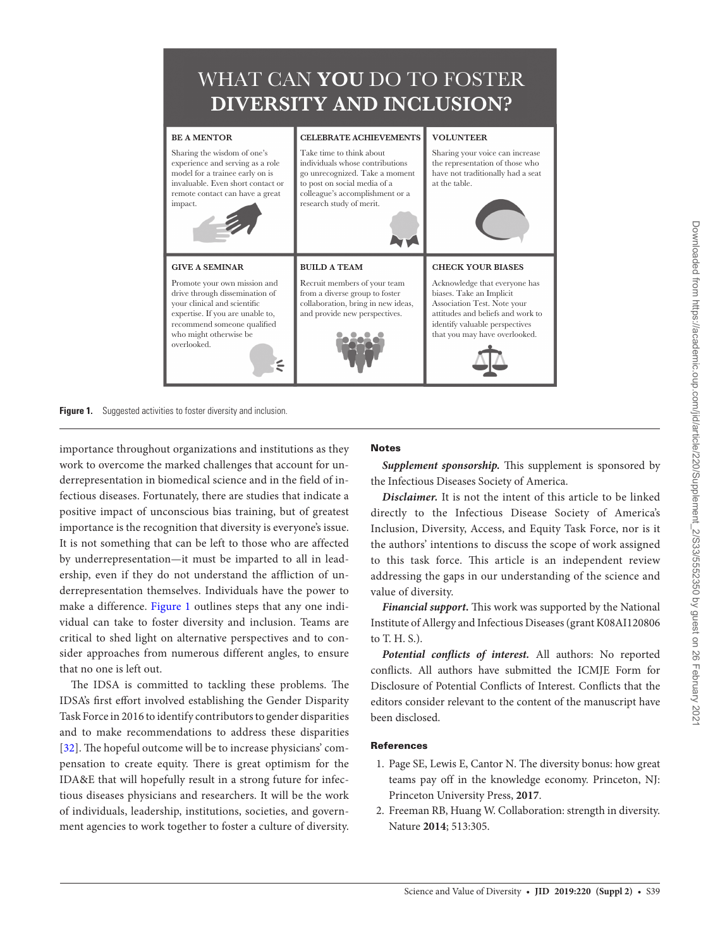

**Figure 1.** Suggested activities to foster diversity and inclusion.

importance throughout organizations and institutions as they work to overcome the marked challenges that account for underrepresentation in biomedical science and in the field of infectious diseases. Fortunately, there are studies that indicate a positive impact of unconscious bias training, but of greatest importance is the recognition that diversity is everyone's issue. It is not something that can be left to those who are affected by underrepresentation—it must be imparted to all in leadership, even if they do not understand the affliction of underrepresentation themselves. Individuals have the power to make a difference. [Figure 1](#page-6-2) outlines steps that any one individual can take to foster diversity and inclusion. Teams are critical to shed light on alternative perspectives and to consider approaches from numerous different angles, to ensure that no one is left out.

The IDSA is committed to tackling these problems. The IDSA's first effort involved establishing the Gender Disparity Task Force in 2016 to identify contributors to gender disparities and to make recommendations to address these disparities [\[32\]](#page-7-24). The hopeful outcome will be to increase physicians' compensation to create equity. There is great optimism for the IDA&E that will hopefully result in a strong future for infectious diseases physicians and researchers. It will be the work of individuals, leadership, institutions, societies, and government agencies to work together to foster a culture of diversity.

# <span id="page-6-2"></span>**Notes**

*Supplement sponsorship.* This supplement is sponsored by the Infectious Diseases Society of America.

*Disclaimer.* It is not the intent of this article to be linked directly to the Infectious Disease Society of America's Inclusion, Diversity, Access, and Equity Task Force, nor is it the authors' intentions to discuss the scope of work assigned to this task force. This article is an independent review addressing the gaps in our understanding of the science and value of diversity.

*Financial support***.** This work was supported by the National Institute of Allergy and Infectious Diseases (grant K08AI120806 to T. H. S.).

*Potential conflicts of interest.* All authors: No reported conflicts. All authors have submitted the ICMJE Form for Disclosure of Potential Conflicts of Interest. Conflicts that the editors consider relevant to the content of the manuscript have been disclosed.

# References

- <span id="page-6-0"></span>1. Page SE, Lewis E, Cantor N. The diversity bonus: how great teams pay off in the knowledge economy. Princeton, NJ: Princeton University Press, **2017**.
- <span id="page-6-1"></span>2. Freeman RB, Huang W. Collaboration: strength in diversity. Nature **2014**; 513:305.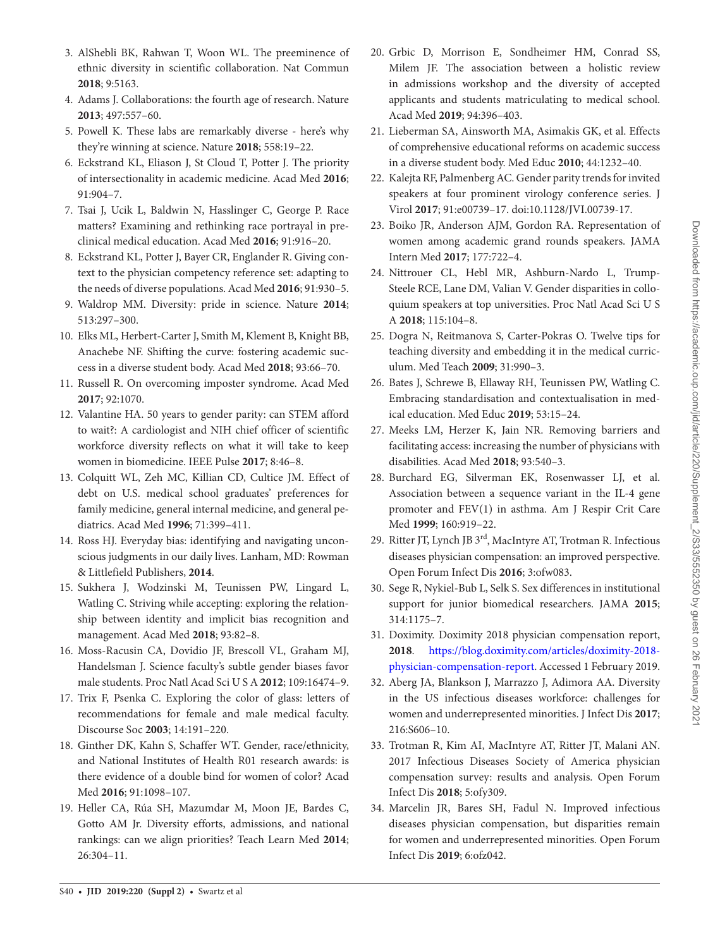- <span id="page-7-1"></span>3. AlShebli BK, Rahwan T, Woon WL. The preeminence of ethnic diversity in scientific collaboration. Nat Commun **2018**; 9:5163.
- <span id="page-7-0"></span>4. Adams J. Collaborations: the fourth age of research. Nature **2013**; 497:557–60.
- <span id="page-7-2"></span>5. Powell K. These labs are remarkably diverse - here's why they're winning at science. Nature **2018**; 558:19–22.
- <span id="page-7-3"></span>6. Eckstrand KL, Eliason J, St Cloud T, Potter J. The priority of intersectionality in academic medicine. Acad Med **2016**; 91:904–7.
- <span id="page-7-4"></span>7. Tsai J, Ucik L, Baldwin N, Hasslinger C, George P. Race matters? Examining and rethinking race portrayal in preclinical medical education. Acad Med **2016**; 91:916–20.
- <span id="page-7-5"></span>8. Eckstrand KL, Potter J, Bayer CR, Englander R. Giving context to the physician competency reference set: adapting to the needs of diverse populations. Acad Med **2016**; 91:930–5.
- <span id="page-7-6"></span>9. Waldrop MM. Diversity: pride in science. Nature **2014**; 513:297–300.
- <span id="page-7-7"></span>10. Elks ML, Herbert-Carter J, Smith M, Klement B, Knight BB, Anachebe NF. Shifting the curve: fostering academic success in a diverse student body. Acad Med **2018**; 93:66–70.
- <span id="page-7-8"></span>11. Russell R. On overcoming imposter syndrome. Acad Med **2017**; 92:1070.
- <span id="page-7-9"></span>12. Valantine HA. 50 years to gender parity: can STEM afford to wait?: A cardiologist and NIH chief officer of scientific workforce diversity reflects on what it will take to keep women in biomedicine. IEEE Pulse **2017**; 8:46–8.
- <span id="page-7-10"></span>13. Colquitt WL, Zeh MC, Killian CD, Cultice JM. Effect of debt on U.S. medical school graduates' preferences for family medicine, general internal medicine, and general pediatrics. Acad Med **1996**; 71:399–411.
- <span id="page-7-11"></span>14. Ross HJ. Everyday bias: identifying and navigating unconscious judgments in our daily lives. Lanham, MD: Rowman & Littlefield Publishers, **2014**.
- <span id="page-7-12"></span>15. Sukhera J, Wodzinski M, Teunissen PW, Lingard L, Watling C. Striving while accepting: exploring the relationship between identity and implicit bias recognition and management. Acad Med **2018**; 93:82–8.
- <span id="page-7-13"></span>16. Moss-Racusin CA, Dovidio JF, Brescoll VL, Graham MJ, Handelsman J. Science faculty's subtle gender biases favor male students. Proc Natl Acad Sci U S A **2012**; 109:16474–9.
- <span id="page-7-14"></span>17. Trix F, Psenka C. Exploring the color of glass: letters of recommendations for female and male medical faculty. Discourse Soc **2003**; 14:191–220.
- <span id="page-7-15"></span>18. Ginther DK, Kahn S, Schaffer WT. Gender, race/ethnicity, and National Institutes of Health R01 research awards: is there evidence of a double bind for women of color? Acad Med **2016**; 91:1098–107.
- 19. Heller CA, Rúa SH, Mazumdar M, Moon JE, Bardes C, Gotto AM Jr. Diversity efforts, admissions, and national rankings: can we align priorities? Teach Learn Med **2014**; 26:304–11.
- 20. Grbic D, Morrison E, Sondheimer HM, Conrad SS, Milem JF. The association between a holistic review in admissions workshop and the diversity of accepted applicants and students matriculating to medical school. Acad Med **2019**; 94:396–403.
- <span id="page-7-16"></span>21. Lieberman SA, Ainsworth MA, Asimakis GK, et al. Effects of comprehensive educational reforms on academic success in a diverse student body. Med Educ **2010**; 44:1232–40.
- 22. Kalejta RF, Palmenberg AC. Gender parity trends for invited speakers at four prominent virology conference series. J Virol **2017**; 91:e00739–17. doi:10.1128/JVI.00739-17.
- 23. Boiko JR, Anderson AJM, Gordon RA. Representation of women among academic grand rounds speakers. JAMA Intern Med **2017**; 177:722–4.
- <span id="page-7-17"></span>24. Nittrouer CL, Hebl MR, Ashburn-Nardo L, Trump-Steele RCE, Lane DM, Valian V. Gender disparities in colloquium speakers at top universities. Proc Natl Acad Sci U S A **2018**; 115:104–8.
- <span id="page-7-18"></span>25. Dogra N, Reitmanova S, Carter-Pokras O. Twelve tips for teaching diversity and embedding it in the medical curriculum. Med Teach **2009**; 31:990–3.
- <span id="page-7-19"></span>26. Bates J, Schrewe B, Ellaway RH, Teunissen PW, Watling C. Embracing standardisation and contextualisation in medical education. Med Educ **2019**; 53:15–24.
- <span id="page-7-20"></span>27. Meeks LM, Herzer K, Jain NR. Removing barriers and facilitating access: increasing the number of physicians with disabilities. Acad Med **2018**; 93:540–3.
- <span id="page-7-21"></span>28. Burchard EG, Silverman EK, Rosenwasser LJ, et al. Association between a sequence variant in the IL-4 gene promoter and FEV(1) in asthma. Am J Respir Crit Care Med **1999**; 160:919–22.
- 29. Ritter JT, Lynch JB 3rd, MacIntyre AT, Trotman R. Infectious diseases physician compensation: an improved perspective. Open Forum Infect Dis **2016**; 3:ofw083.
- <span id="page-7-22"></span>30. Sege R, Nykiel-Bub L, Selk S. Sex differences in institutional support for junior biomedical researchers. JAMA **2015**; 314:1175–7.
- <span id="page-7-23"></span>31. Doximity. Doximity 2018 physician compensation report, **2018**. https://blog.doximity.com/articles/doximity-2018 physician-compensation-report. Accessed 1 February 2019.
- <span id="page-7-24"></span>32. Aberg JA, Blankson J, Marrazzo J, Adimora AA. Diversity in the US infectious diseases workforce: challenges for women and underrepresented minorities. J Infect Dis **2017**; 216:S606–10.
- <span id="page-7-25"></span>33. Trotman R, Kim AI, MacIntyre AT, Ritter JT, Malani AN. 2017 Infectious Diseases Society of America physician compensation survey: results and analysis. Open Forum Infect Dis **2018**; 5:ofy309.
- <span id="page-7-26"></span>34. Marcelin JR, Bares SH, Fadul N. Improved infectious diseases physician compensation, but disparities remain for women and underrepresented minorities. Open Forum Infect Dis **2019**; 6:ofz042.